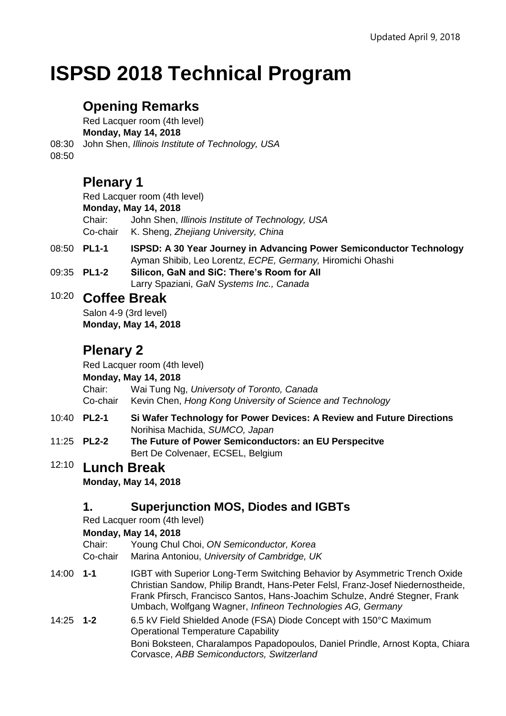# **ISPSD 2018 Technical Program**

# **Opening Remarks**

Red Lacquer room (4th level) **Monday, May 14, 2018** 08:30 John Shen, *Illinois Institute of Technology, USA*

08:50

# **Plenary 1**

Red Lacquer room (4th level)

**Monday, May 14, 2018**

Chair: John Shen, *Illinois Institute of Technology, USA* Co-chair K. Sheng, *Zhejiang University, China*

- 08:50 **PL1-1 ISPSD: A 30 Year Journey in Advancing Power Semiconductor Technology** 
	- Ayman Shibib, Leo Lorentz, *ECPE, Germany,* Hiromichi Ohashi
- 09:35 **PL1-2 Silicon, GaN and SiC: There's Room for All** Larry Spaziani, *GaN Systems Inc., Canada*

### 10:20 **Coffee Break**

Salon 4-9 (3rd level) **Monday, May 14, 2018**

# **Plenary 2**

Red Lacquer room (4th level)

#### **Monday, May 14, 2018**

Chair: Wai Tung Ng, *Universoty of Toronto, Canada* Co-chair Kevin Chen, *Hong Kong University of Science and Technology*

- 10:40 **PL2-1 Si Wafer Technology for Power Devices: A Review and Future Directions**  Norihisa Machida, *SUMCO, Japan*
- 11:25 **PL2-2 The Future of Power Semiconductors: an EU Perspecitve**  Bert De Colvenaer, ECSEL, Belgium

# 12:10 **Lunch Break**

**Monday, May 14, 2018**

### **1. Superjunction MOS, Diodes and IGBTs**

Red Lacquer room (4th level)

#### **Monday, May 14, 2018**

Chair: Young Chul Choi, *ON Semiconductor, Korea*

Co-chair Marina Antoniou, *University of Cambridge, UK*

- 14:00 **1-1** IGBT with Superior Long-Term Switching Behavior by Asymmetric Trench Oxide Christian Sandow, Philip Brandt, Hans-Peter Felsl, Franz-Josef Niedernostheide, Frank Pfirsch, Francisco Santos, Hans-Joachim Schulze, André Stegner, Frank Umbach, Wolfgang Wagner, *Infineon Technologies AG, Germany*
- 14:25 **1-2** 6.5 kV Field Shielded Anode (FSA) Diode Concept with 150°C Maximum Operational Temperature Capability Boni Boksteen, Charalampos Papadopoulos, Daniel Prindle, Arnost Kopta, Chiara Corvasce, *ABB Semiconductors, Switzerland*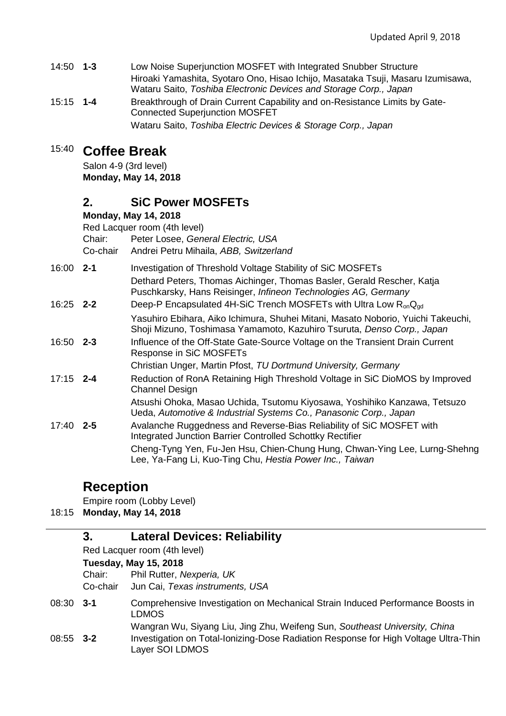| 14:50 1-3 | Low Noise Superjunction MOSFET with Integrated Snubber Structure                |
|-----------|---------------------------------------------------------------------------------|
|           | Hiroaki Yamashita, Syotaro Ono, Hisao Ichijo, Masataka Tsuji, Masaru Izumisawa, |
|           | Wataru Saito, Toshiba Electronic Devices and Storage Corp., Japan               |
|           |                                                                                 |

15:15 **1-4** Breakthrough of Drain Current Capability and on-Resistance Limits by Gate-Connected Superjunction MOSFET Wataru Saito, *Toshiba Electric Devices & Storage Corp., Japan*

### 15:40 **Coffee Break**

Salon 4-9 (3rd level) **Monday, May 14, 2018**

#### **2. SiC Power MOSFETs**

#### **Monday, May 14, 2018**

Red Lacquer room (4th level) Chair: Peter Losee, *General Electric, USA*

Co-chair Andrei Petru Mihaila, *ABB, Switzerland*

16:00 **2-1** Investigation of Threshold Voltage Stability of SiC MOSFETs Dethard Peters, Thomas Aichinger, Thomas Basler, Gerald Rescher, Katja Puschkarsky, Hans Reisinger, *Infineon Technologies AG, Germany* 16:25 **2-2** Deep-P Encapsulated 4H-SiC Trench MOSFETs with Ultra Low R<sub>on</sub>Q<sub>gd</sub> Yasuhiro Ebihara, Aiko Ichimura, Shuhei Mitani, Masato Noborio, Yuichi Takeuchi, Shoji Mizuno, Toshimasa Yamamoto, Kazuhiro Tsuruta, *Denso Corp., Japan* 16:50 **2-3** Influence of the Off-State Gate-Source Voltage on the Transient Drain Current Response in SiC MOSFETs Christian Unger, Martin Pfost, *TU Dortmund University, Germany* 17:15 **2-4** Reduction of RonA Retaining High Threshold Voltage in SiC DioMOS by Improved Channel Design

Atsushi Ohoka, Masao Uchida, Tsutomu Kiyosawa, Yoshihiko Kanzawa, Tetsuzo Ueda, *Automotive & Industrial Systems Co., Panasonic Corp., Japan*

17:40 **2-5** Avalanche Ruggedness and Reverse-Bias Reliability of SiC MOSFET with Integrated Junction Barrier Controlled Schottky Rectifier Cheng-Tyng Yen, Fu-Jen Hsu, Chien-Chung Hung, Chwan-Ying Lee, Lurng-Shehng Lee, Ya-Fang Li, Kuo-Ting Chu, *Hestia Power Inc., Taiwan*

### **Reception**

Empire room (Lobby Level)

18:15 **Monday, May 14, 2018**

| 3.                           | <b>Lateral Devices: Reliability</b>                                                                    |
|------------------------------|--------------------------------------------------------------------------------------------------------|
|                              | Red Lacquer room (4th level)                                                                           |
| <b>Tuesday, May 15, 2018</b> |                                                                                                        |
| Chair:                       | Phil Rutter, Nexperia, UK                                                                              |
| Co-chair                     | Jun Cai, Texas instruments, USA                                                                        |
|                              | Comprehensive Investigation on Mechanical Strain Induced Performance Boosts in<br><b>LDMOS</b>         |
|                              | Wangran Wu, Siyang Liu, Jing Zhu, Weifeng Sun, Southeast University, China                             |
|                              | Investigation on Total-Ionizing-Dose Radiation Response for High Voltage Ultra-Thin<br>Layer SOI LDMOS |
|                              | 08:30 3-1<br>08:55 <b>3-2</b>                                                                          |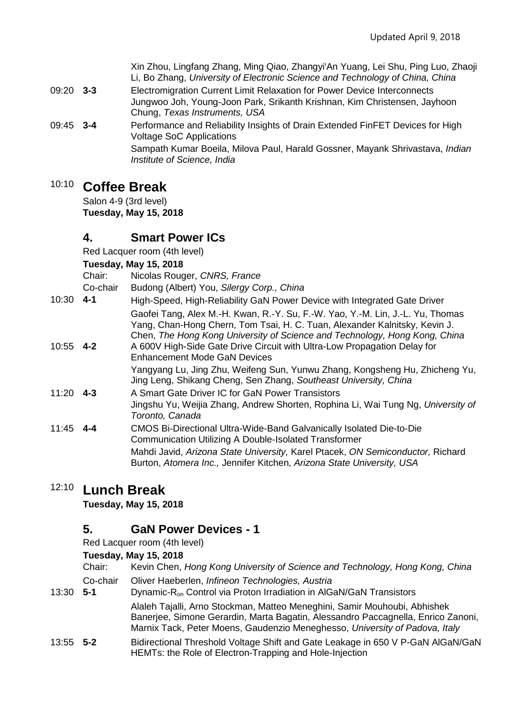Xin Zhou, Lingfang Zhang, Ming Qiao, Zhangyi'An Yuang, Lei Shu, Ping Luo, Zhaoji Li, Bo Zhang, *University of Electronic Science and Technology of China, China*

- 09:20 **3-3** Electromigration Current Limit Relaxation for Power Device Interconnects Jungwoo Joh, Young-Joon Park, Srikanth Krishnan, Kim Christensen, Jayhoon Chung, *Texas Instruments, USA*
- 09:45 **3-4** Performance and Reliability Insights of Drain Extended FinFET Devices for High Voltage SoC Applications Sampath Kumar Boeila, Milova Paul, Harald Gossner, Mayank Shrivastava, *Indian Institute of Science, India*

### 10:10 **Coffee Break**

Salon 4-9 (3rd level) **Tuesday, May 15, 2018**

### **4. Smart Power ICs**

Red Lacquer room (4th level)

#### **Tuesday, May 15, 2018**

- Chair: Nicolas Rouger, *CNRS, France*
- Co-chair Budong (Albert) You, *Silergy Corp., China*
- 10:30 **4-1** High-Speed, High-Reliability GaN Power Device with Integrated Gate Driver Gaofei Tang, Alex M.-H. Kwan, R.-Y. Su, F.-W. Yao, Y.-M. Lin, J.-L. Yu, Thomas Yang, Chan-Hong Chern, Tom Tsai, H. C. Tuan, Alexander Kalnitsky, Kevin J. Chen, *The Hong Kong University of Science and Technology, Hong Kong, China*
- 10:55 **4-2** A 600V High-Side Gate Drive Circuit with Ultra-Low Propagation Delay for Enhancement Mode GaN Devices Yangyang Lu, Jing Zhu, Weifeng Sun, Yunwu Zhang, Kongsheng Hu, Zhicheng Yu,
	- Jing Leng, Shikang Cheng, Sen Zhang, *Southeast University, China*
- 11:20 **4-3** A Smart Gate Driver IC for GaN Power Transistors Jingshu Yu, Weijia Zhang, Andrew Shorten, Rophina Li, Wai Tung Ng, *University of Toronto, Canada*
- 11:45 **4-4** CMOS Bi-Directional Ultra-Wide-Band Galvanically Isolated Die-to-Die Communication Utilizing A Double-Isolated Transformer Mahdi Javid, *Arizona State University,* Karel Ptacek, *ON Semiconductor,* Richard Burton, *Atomera Inc.,* Jennifer Kitchen, *Arizona State University, USA*

### 12:10 **Lunch Break**

**Tuesday, May 15, 2018**

### **5. GaN Power Devices - 1**

Red Lacquer room (4th level)

#### **Tuesday, May 15, 2018**

|           | Chair:   | Kevin Chen, Hong Kong University of Science and Technology, Hong Kong, China                                                                                                                                                                 |
|-----------|----------|----------------------------------------------------------------------------------------------------------------------------------------------------------------------------------------------------------------------------------------------|
|           | Co-chair | Oliver Haeberlen, Infineon Technologies, Austria                                                                                                                                                                                             |
| 13:30 5-1 |          | Dynamic-R <sub>on</sub> Control via Proton Irradiation in AIGaN/GaN Transistors                                                                                                                                                              |
|           |          | Alaleh Tajalli, Arno Stockman, Matteo Meneghini, Samir Mouhoubi, Abhishek<br>Banerjee, Simone Gerardin, Marta Bagatin, Alessandro Paccagnella, Enrico Zanoni,<br>Marnix Tack, Peter Moens, Gaudenzio Meneghesso, University of Padova, Italy |

13:55 **5-2** Bidirectional Threshold Voltage Shift and Gate Leakage in 650 V P-GaN AlGaN/GaN HEMTs: the Role of Electron-Trapping and Hole-Injection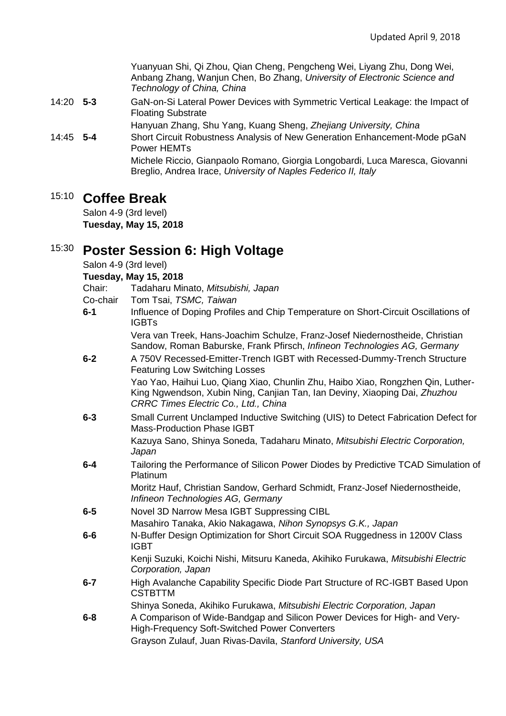Yuanyuan Shi, Qi Zhou, Qian Cheng, Pengcheng Wei, Liyang Zhu, Dong Wei, Anbang Zhang, Wanjun Chen, Bo Zhang, *University of Electronic Science and Technology of China, China*

14:20 **5-3** GaN-on-Si Lateral Power Devices with Symmetric Vertical Leakage: the Impact of Floating Substrate

Hanyuan Zhang, Shu Yang, Kuang Sheng, *Zhejiang University, China*

14:45 **5-4** Short Circuit Robustness Analysis of New Generation Enhancement-Mode pGaN Power HEMTs Michele Riccio, Gianpaolo Romano, Giorgia Longobardi, Luca Maresca, Giovanni Breglio, Andrea Irace, *University of Naples Federico II, Italy*

### 15:10 **Coffee Break**

Salon 4-9 (3rd level) **Tuesday, May 15, 2018**

## 15:30 **Poster Session 6: High Voltage**

Salon 4-9 (3rd level)

**Tuesday, May 15, 2018**

- Chair: Tadaharu Minato, *Mitsubishi, Japan*
- Co-chair Tom Tsai, *TSMC, Taiwan*
- **6-1** Influence of Doping Profiles and Chip Temperature on Short-Circuit Oscillations of IGBTs

Vera van Treek, Hans-Joachim Schulze, Franz-Josef Niedernostheide, Christian Sandow, Roman Baburske, Frank Pfirsch, *Infineon Technologies AG, Germany*

- **6-2** A 750V Recessed-Emitter-Trench IGBT with Recessed-Dummy-Trench Structure Featuring Low Switching Losses Yao Yao, Haihui Luo, Qiang Xiao, Chunlin Zhu, Haibo Xiao, Rongzhen Qin, Luther-King Ngwendson, Xubin Ning, Canjian Tan, Ian Deviny, Xiaoping Dai, *Zhuzhou CRRC Times Electric Co., Ltd., China*
- **6-3** Small Current Unclamped Inductive Switching (UIS) to Detect Fabrication Defect for Mass-Production Phase IGBT Kazuya Sano, Shinya Soneda, Tadaharu Minato, *Mitsubishi Electric Corporation, Japan* **6-4** Tailoring the Performance of Silicon Power Diodes by Predictive TCAD Simulation of Platinum Moritz Hauf, Christian Sandow, Gerhard Schmidt, Franz-Josef Niedernostheide, *Infineon Technologies AG, Germany* **6-5** Novel 3D Narrow Mesa IGBT Suppressing CIBL
	- Masahiro Tanaka, Akio Nakagawa, *Nihon Synopsys G.K., Japan*
- **6-6** N-Buffer Design Optimization for Short Circuit SOA Ruggedness in 1200V Class IGBT

Kenji Suzuki, Koichi Nishi, Mitsuru Kaneda, Akihiko Furukawa, *Mitsubishi Electric Corporation, Japan*

**6-7** High Avalanche Capability Specific Diode Part Structure of RC-IGBT Based Upon CSTBTTM

Shinya Soneda, Akihiko Furukawa, *Mitsubishi Electric Corporation, Japan*

**6-8** A Comparison of Wide-Bandgap and Silicon Power Devices for High- and Very-High-Frequency Soft-Switched Power Converters Grayson Zulauf, Juan Rivas-Davila, *Stanford University, USA*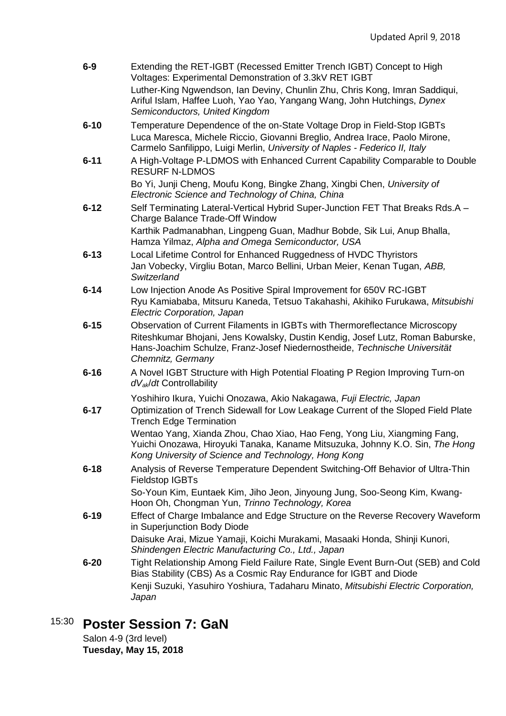| $6-9$    | Extending the RET-IGBT (Recessed Emitter Trench IGBT) Concept to High<br>Voltages: Experimental Demonstration of 3.3kV RET IGBT                                                                                                                                 |
|----------|-----------------------------------------------------------------------------------------------------------------------------------------------------------------------------------------------------------------------------------------------------------------|
|          | Luther-King Ngwendson, Ian Deviny, Chunlin Zhu, Chris Kong, Imran Saddiqui,<br>Ariful Islam, Haffee Luoh, Yao Yao, Yangang Wang, John Hutchings, Dynex<br>Semiconductors, United Kingdom                                                                        |
| $6 - 10$ | Temperature Dependence of the on-State Voltage Drop in Field-Stop IGBTs<br>Luca Maresca, Michele Riccio, Giovanni Breglio, Andrea Irace, Paolo Mirone,<br>Carmelo Sanfilippo, Luigi Merlin, University of Naples - Federico II, Italy                           |
| $6 - 11$ | A High-Voltage P-LDMOS with Enhanced Current Capability Comparable to Double<br><b>RESURF N-LDMOS</b>                                                                                                                                                           |
|          | Bo Yi, Junji Cheng, Moufu Kong, Bingke Zhang, Xingbi Chen, University of<br>Electronic Science and Technology of China, China                                                                                                                                   |
| $6 - 12$ | Self Terminating Lateral-Vertical Hybrid Super-Junction FET That Breaks Rds.A -<br>Charge Balance Trade-Off Window                                                                                                                                              |
|          | Karthik Padmanabhan, Lingpeng Guan, Madhur Bobde, Sik Lui, Anup Bhalla,<br>Hamza Yilmaz, Alpha and Omega Semiconductor, USA                                                                                                                                     |
| $6 - 13$ | Local Lifetime Control for Enhanced Ruggedness of HVDC Thyristors                                                                                                                                                                                               |
|          | Jan Vobecky, Virgliu Botan, Marco Bellini, Urban Meier, Kenan Tugan, ABB,<br>Switzerland                                                                                                                                                                        |
| $6 - 14$ | Low Injection Anode As Positive Spiral Improvement for 650V RC-IGBT                                                                                                                                                                                             |
|          | Ryu Kamiababa, Mitsuru Kaneda, Tetsuo Takahashi, Akihiko Furukawa, Mitsubishi<br>Electric Corporation, Japan                                                                                                                                                    |
| $6 - 15$ | Observation of Current Filaments in IGBTs with Thermoreflectance Microscopy<br>Riteshkumar Bhojani, Jens Kowalsky, Dustin Kendig, Josef Lutz, Roman Baburske,<br>Hans-Joachim Schulze, Franz-Josef Niedernostheide, Technische Universität<br>Chemnitz, Germany |
| $6 - 16$ | A Novel IGBT Structure with High Potential Floating P Region Improving Turn-on<br>$dV_{\alpha\beta}/dt$ Controllability                                                                                                                                         |
|          | Yoshihiro Ikura, Yuichi Onozawa, Akio Nakagawa, Fuji Electric, Japan                                                                                                                                                                                            |
| $6 - 17$ | Optimization of Trench Sidewall for Low Leakage Current of the Sloped Field Plate<br><b>Trench Edge Termination</b>                                                                                                                                             |
|          | Wentao Yang, Xianda Zhou, Chao Xiao, Hao Feng, Yong Liu, Xiangming Fang,<br>Yuichi Onozawa, Hiroyuki Tanaka, Kaname Mitsuzuka, Johnny K.O. Sin, The Hong<br>Kong University of Science and Technology, Hong Kong                                                |
| $6 - 18$ | Analysis of Reverse Temperature Dependent Switching-Off Behavior of Ultra-Thin<br><b>Fieldstop IGBTs</b>                                                                                                                                                        |
|          | So-Youn Kim, Euntaek Kim, Jiho Jeon, Jinyoung Jung, Soo-Seong Kim, Kwang-<br>Hoon Oh, Chongman Yun, Trinno Technology, Korea                                                                                                                                    |
| $6 - 19$ | Effect of Charge Imbalance and Edge Structure on the Reverse Recovery Waveform<br>in Superjunction Body Diode                                                                                                                                                   |
|          | Daisuke Arai, Mizue Yamaji, Koichi Murakami, Masaaki Honda, Shinji Kunori,<br>Shindengen Electric Manufacturing Co., Ltd., Japan                                                                                                                                |
| $6 - 20$ | Tight Relationship Among Field Failure Rate, Single Event Burn-Out (SEB) and Cold<br>Bias Stability (CBS) As a Cosmic Ray Endurance for IGBT and Diode                                                                                                          |
|          | Kenji Suzuki, Yasuhiro Yoshiura, Tadaharu Minato, Mitsubishi Electric Corporation,<br>Japan                                                                                                                                                                     |

# 15:30 **Poster Session 7: GaN**

Salon 4-9 (3rd level) **Tuesday, May 15, 2018**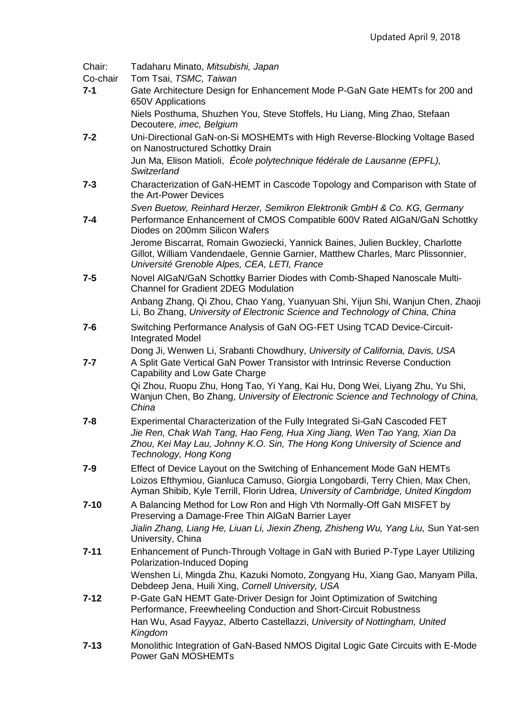| Chair:<br>Co-chair | Tadaharu Minato, Mitsubishi, Japan<br>Tom Tsai, TSMC, Taiwan                                                                                                                                                                                                 |
|--------------------|--------------------------------------------------------------------------------------------------------------------------------------------------------------------------------------------------------------------------------------------------------------|
| $7 - 1$            | Gate Architecture Design for Enhancement Mode P-GaN Gate HEMTs for 200 and<br>650V Applications                                                                                                                                                              |
|                    | Niels Posthuma, Shuzhen You, Steve Stoffels, Hu Liang, Ming Zhao, Stefaan<br>Decoutere, imec, Belgium                                                                                                                                                        |
| $7 - 2$            | Uni-Directional GaN-on-Si MOSHEMTs with High Reverse-Blocking Voltage Based<br>on Nanostructured Schottky Drain                                                                                                                                              |
|                    | Jun Ma, Elison Matioli, École polytechnique fédérale de Lausanne (EPFL),<br>Switzerland                                                                                                                                                                      |
| $7 - 3$            | Characterization of GaN-HEMT in Cascode Topology and Comparison with State of<br>the Art-Power Devices                                                                                                                                                       |
|                    | Sven Buetow, Reinhard Herzer, Semikron Elektronik GmbH & Co. KG, Germany                                                                                                                                                                                     |
| $7 - 4$            | Performance Enhancement of CMOS Compatible 600V Rated AlGaN/GaN Schottky<br>Diodes on 200mm Silicon Wafers                                                                                                                                                   |
|                    | Jerome Biscarrat, Romain Gwoziecki, Yannick Baines, Julien Buckley, Charlotte<br>Gillot, William Vandendaele, Gennie Garnier, Matthew Charles, Marc Plissonnier,<br>Université Grenoble Alpes, CEA, LETI, France                                             |
| $7 - 5$            | Novel AIGaN/GaN Schottky Barrier Diodes with Comb-Shaped Nanoscale Multi-<br><b>Channel for Gradient 2DEG Modulation</b>                                                                                                                                     |
|                    | Anbang Zhang, Qi Zhou, Chao Yang, Yuanyuan Shi, Yijun Shi, Wanjun Chen, Zhaoji<br>Li, Bo Zhang, University of Electronic Science and Technology of China, China                                                                                              |
| $7 - 6$            | Switching Performance Analysis of GaN OG-FET Using TCAD Device-Circuit-<br><b>Integrated Model</b>                                                                                                                                                           |
| $7 - 7$            | Dong Ji, Wenwen Li, Srabanti Chowdhury, University of California, Davis, USA<br>A Split Gate Vertical GaN Power Transistor with Intrinsic Reverse Conduction<br>Capability and Low Gate Charge                                                               |
|                    | Qi Zhou, Ruopu Zhu, Hong Tao, Yi Yang, Kai Hu, Dong Wei, Liyang Zhu, Yu Shi,<br>Wanjun Chen, Bo Zhang, University of Electronic Science and Technology of China,<br>China                                                                                    |
| $7 - 8$            | Experimental Characterization of the Fully Integrated Si-GaN Cascoded FET<br>Jie Ren, Chak Wah Tang, Hao Feng, Hua Xing Jiang, Wen Tao Yang, Xian Da<br>Zhou, Kei May Lau, Johnny K.O. Sin, The Hong Kong University of Science and<br>Technology, Hong Kong |
| $7 - 9$            | Effect of Device Layout on the Switching of Enhancement Mode GaN HEMTs<br>Loizos Efthymiou, Gianluca Camuso, Giorgia Longobardi, Terry Chien, Max Chen,<br>Ayman Shibib, Kyle Terrill, Florin Udrea, University of Cambridge, United Kingdom                 |
| $7 - 10$           | A Balancing Method for Low Ron and High Vth Normally-Off GaN MISFET by<br>Preserving a Damage-Free Thin AlGaN Barrier Layer                                                                                                                                  |
|                    | Jialin Zhang, Liang He, Liuan Li, Jiexin Zheng, Zhisheng Wu, Yang Liu, Sun Yat-sen<br>University, China                                                                                                                                                      |
| $7 - 11$           | Enhancement of Punch-Through Voltage in GaN with Buried P-Type Layer Utilizing<br><b>Polarization-Induced Doping</b>                                                                                                                                         |
|                    | Wenshen Li, Mingda Zhu, Kazuki Nomoto, Zongyang Hu, Xiang Gao, Manyam Pilla,<br>Debdeep Jena, Huili Xing, Cornell University, USA                                                                                                                            |
| $7 - 12$           | P-Gate GaN HEMT Gate-Driver Design for Joint Optimization of Switching<br>Performance, Freewheeling Conduction and Short-Circuit Robustness                                                                                                                  |
|                    | Han Wu, Asad Fayyaz, Alberto Castellazzi, University of Nottingham, United<br>Kingdom                                                                                                                                                                        |
| $7 - 13$           | Monolithic Integration of GaN-Based NMOS Digital Logic Gate Circuits with E-Mode<br><b>Power GaN MOSHEMTs</b>                                                                                                                                                |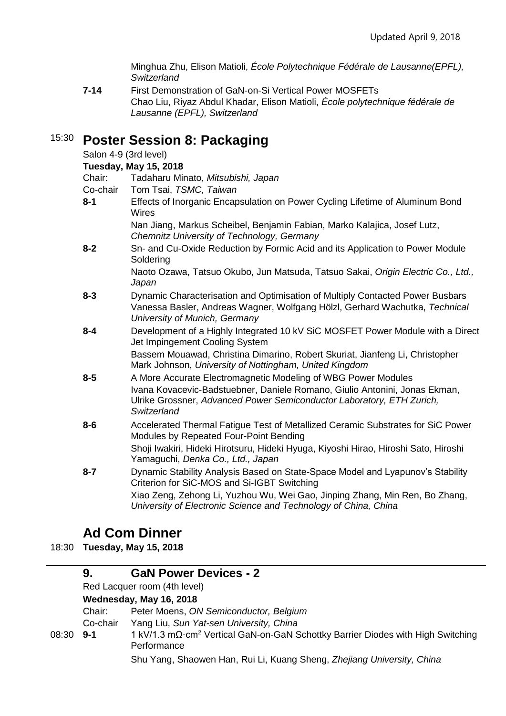Minghua Zhu, Elison Matioli, *École Polytechnique Fédérale de Lausanne(EPFL), Switzerland*

**7-14** First Demonstration of GaN-on-Si Vertical Power MOSFETs Chao Liu, Riyaz Abdul Khadar, Elison Matioli, *École polytechnique fédérale de Lausanne (EPFL), Switzerland*

# 15:30 **Poster Session 8: Packaging**

#### Salon 4-9 (3rd level)

#### **Tuesday, May 15, 2018**

Chair: Tadaharu Minato, *Mitsubishi, Japan*

- Co-chair Tom Tsai, *TSMC, Taiwan*
- **8-1** Effects of Inorganic Encapsulation on Power Cycling Lifetime of Aluminum Bond **Wires**

Nan Jiang, Markus Scheibel, Benjamin Fabian, Marko Kalajica, Josef Lutz, *Chemnitz University of Technology, Germany*

**8-2** Sn- and Cu-Oxide Reduction by Formic Acid and its Application to Power Module **Soldering** 

Naoto Ozawa, Tatsuo Okubo, Jun Matsuda, Tatsuo Sakai, *Origin Electric Co., Ltd., Japan*

- **8-3** Dynamic Characterisation and Optimisation of Multiply Contacted Power Busbars Vanessa Basler, Andreas Wagner, Wolfgang Hölzl, Gerhard Wachutka, *Technical University of Munich, Germany*
- **8-4** Development of a Highly Integrated 10 kV SiC MOSFET Power Module with a Direct Jet Impingement Cooling System

Bassem Mouawad, Christina Dimarino, Robert Skuriat, Jianfeng Li, Christopher Mark Johnson, *University of Nottingham, United Kingdom*

- **8-5** A More Accurate Electromagnetic Modeling of WBG Power Modules Ivana Kovacevic-Badstuebner, Daniele Romano, Giulio Antonini, Jonas Ekman, Ulrike Grossner, *Advanced Power Semiconductor Laboratory, ETH Zurich, Switzerland*
- **8-6** Accelerated Thermal Fatigue Test of Metallized Ceramic Substrates for SiC Power Modules by Repeated Four-Point Bending Shoji Iwakiri, Hideki Hirotsuru, Hideki Hyuga, Kiyoshi Hirao, Hiroshi Sato, Hiroshi Yamaguchi, *Denka Co., Ltd., Japan*
- **8-7** Dynamic Stability Analysis Based on State-Space Model and Lyapunov's Stability Criterion for SiC-MOS and Si-IGBT Switching Xiao Zeng, Zehong Li, Yuzhou Wu, Wei Gao, Jinping Zhang, Min Ren, Bo Zhang, *University of Electronic Science and Technology of China, China*

# **Ad Com Dinner**

18:30 **Tuesday, May 15, 2018**

#### **9. GaN Power Devices - 2**

Red Lacquer room (4th level)

#### **Wednesday, May 16, 2018**

Chair: Peter Moens, *ON Semiconductor, Belgium*

- Co-chair Yang Liu, *Sun Yat-sen University, China*
- 08:30 **9-1** 1 kV/1.3 mΩ·cm<sup>2</sup> Vertical GaN-on-GaN Schottky Barrier Diodes with High Switching **Performance**

Shu Yang, Shaowen Han, Rui Li, Kuang Sheng, *Zhejiang University, China*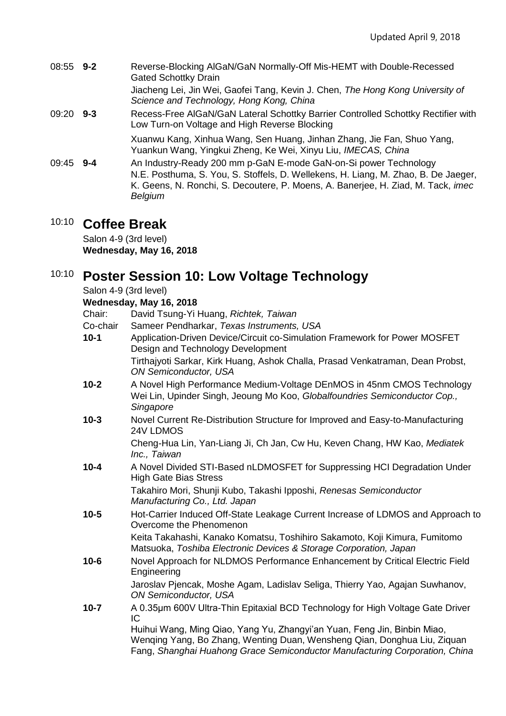| 08:55 9-2   | Reverse-Blocking AIGaN/GaN Normally-Off Mis-HEMT with Double-Recessed<br><b>Gated Schottky Drain</b>                                                                                                                                                         |
|-------------|--------------------------------------------------------------------------------------------------------------------------------------------------------------------------------------------------------------------------------------------------------------|
|             | Jiacheng Lei, Jin Wei, Gaofei Tang, Kevin J. Chen, The Hong Kong University of<br>Science and Technology, Hong Kong, China                                                                                                                                   |
| $09:20$ 9-3 | Recess-Free AlGaN/GaN Lateral Schottky Barrier Controlled Schottky Rectifier with<br>Low Turn-on Voltage and High Reverse Blocking                                                                                                                           |
|             | Xuanwu Kang, Xinhua Wang, Sen Huang, Jinhan Zhang, Jie Fan, Shuo Yang,<br>Yuankun Wang, Yingkui Zheng, Ke Wei, Xinyu Liu, IMECAS, China                                                                                                                      |
| $09:45$ 9-4 | An Industry-Ready 200 mm p-GaN E-mode GaN-on-Si power Technology<br>N.E. Posthuma, S. You, S. Stoffels, D. Wellekens, H. Liang, M. Zhao, B. De Jaeger,<br>K. Geens, N. Ronchi, S. Decoutere, P. Moens, A. Banerjee, H. Ziad, M. Tack, <i>imec</i><br>Belgium |

### 10:10 **Coffee Break**

Salon 4-9 (3rd level) **Wednesday, May 16, 2018**

# 10:10 **Poster Session 10: Low Voltage Technology**

Salon 4-9 (3rd level)

**Wednesday, May 16, 2018**

- Chair: David Tsung-Yi Huang, *Richtek, Taiwan*
- Co-chair Sameer Pendharkar, *Texas Instruments, USA*
- **10-1** Application-Driven Device/Circuit co-Simulation Framework for Power MOSFET Design and Technology Development

Tirthajyoti Sarkar, Kirk Huang, Ashok Challa, Prasad Venkatraman, Dean Probst, *ON Semiconductor, USA*

- **10-2** A Novel High Performance Medium-Voltage DEnMOS in 45nm CMOS Technology Wei Lin, Upinder Singh, Jeoung Mo Koo, *Globalfoundries Semiconductor Cop., Singapore*
- **10-3** Novel Current Re-Distribution Structure for Improved and Easy-to-Manufacturing 24V LDMOS

Cheng-Hua Lin, Yan-Liang Ji, Ch Jan, Cw Hu, Keven Chang, HW Kao, *Mediatek Inc., Taiwan*

**10-4** A Novel Divided STI-Based nLDMOSFET for Suppressing HCI Degradation Under High Gate Bias Stress Takahiro Mori, Shunji Kubo, Takashi Ipposhi, *Renesas Semiconductor Manufacturing Co., Ltd. Japan*

**10-5** Hot-Carrier Induced Off-State Leakage Current Increase of LDMOS and Approach to Overcome the Phenomenon

Keita Takahashi, Kanako Komatsu, Toshihiro Sakamoto, Koji Kimura, Fumitomo Matsuoka, *Toshiba Electronic Devices & Storage Corporation, Japan*

**10-6** Novel Approach for NLDMOS Performance Enhancement by Critical Electric Field Engineering

Jaroslav Pjencak, Moshe Agam, Ladislav Seliga, Thierry Yao, Agajan Suwhanov, *ON Semiconductor, USA*

**10-7** A 0.35μm 600V Ultra-Thin Epitaxial BCD Technology for High Voltage Gate Driver IC

Huihui Wang, Ming Qiao, Yang Yu, Zhangyi'an Yuan, Feng Jin, Binbin Miao, Wenqing Yang, Bo Zhang, Wenting Duan, Wensheng Qian, Donghua Liu, Ziquan Fang, *Shanghai Huahong Grace Semiconductor Manufacturing Corporation, China*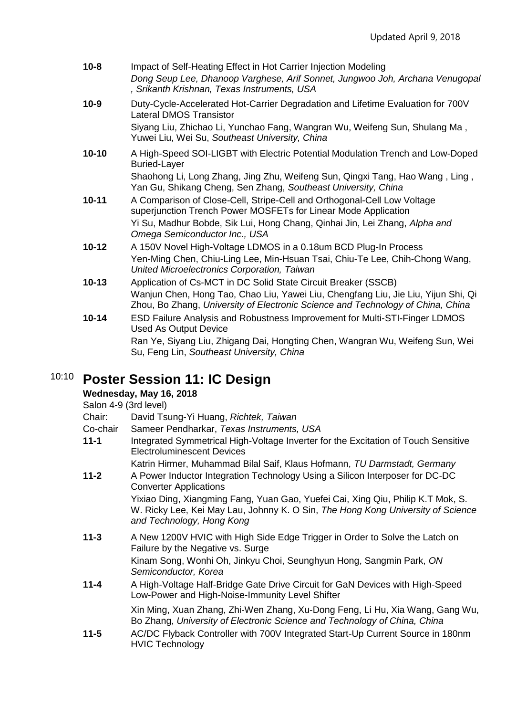- **10-8** Impact of Self-Heating Effect in Hot Carrier Injection Modeling *Dong Seup Lee, Dhanoop Varghese, Arif Sonnet, Jungwoo Joh, Archana Venugopal , Srikanth Krishnan, Texas Instruments, USA*
- **10-9** Duty-Cycle-Accelerated Hot-Carrier Degradation and Lifetime Evaluation for 700V Lateral DMOS Transistor Siyang Liu, Zhichao Li, Yunchao Fang, Wangran Wu, Weifeng Sun, Shulang Ma , Yuwei Liu, Wei Su, *Southeast University, China*
- **10-10** A High-Speed SOI-LIGBT with Electric Potential Modulation Trench and Low-Doped Buried-Layer Shaohong Li, Long Zhang, Jing Zhu, Weifeng Sun, Qingxi Tang, Hao Wang , Ling ,
- Yan Gu, Shikang Cheng, Sen Zhang, *Southeast University, China* **10-11** A Comparison of Close-Cell, Stripe-Cell and Orthogonal-Cell Low Voltage superjunction Trench Power MOSFETs for Linear Mode Application Yi Su, Madhur Bobde, Sik Lui, Hong Chang, Qinhai Jin, Lei Zhang, *Alpha and Omega Semiconductor Inc., USA*
- **10-12** A 150V Novel High-Voltage LDMOS in a 0.18um BCD Plug-In Process Yen-Ming Chen, Chiu-Ling Lee, Min-Hsuan Tsai, Chiu-Te Lee, Chih-Chong Wang, *United Microelectronics Corporation, Taiwan*
- **10-13** Application of Cs-MCT in DC Solid State Circuit Breaker (SSCB) Wanjun Chen, Hong Tao, Chao Liu, Yawei Liu, Chengfang Liu, Jie Liu, Yijun Shi, Qi Zhou, Bo Zhang, *University of Electronic Science and Technology of China, China*
- **10-14** ESD Failure Analysis and Robustness Improvement for Multi-STI-Finger LDMOS Used As Output Device Ran Ye, Siyang Liu, Zhigang Dai, Hongting Chen, Wangran Wu, Weifeng Sun, Wei Su, Feng Lin, *Southeast University, China*

# 10:10 **Poster Session 11: IC Design**

#### **Wednesday, May 16, 2018**

Salon 4-9 (3rd level)

Chair: David Tsung-Yi Huang, *Richtek, Taiwan*

- Co-chair Sameer Pendharkar, *Texas Instruments, USA*
- **11-1** Integrated Symmetrical High-Voltage Inverter for the Excitation of Touch Sensitive Electroluminescent Devices

Katrin Hirmer, Muhammad Bilal Saif, Klaus Hofmann, *TU Darmstadt, Germany*

**11-2** A Power Inductor Integration Technology Using a Silicon Interposer for DC-DC Converter Applications Yixiao Ding, Xiangming Fang, Yuan Gao, Yuefei Cai, Xing Qiu, Philip K.T Mok, S.

W. Ricky Lee, Kei May Lau, Johnny K. O Sin, *The Hong Kong University of Science and Technology, Hong Kong*

- **11-3** A New 1200V HVIC with High Side Edge Trigger in Order to Solve the Latch on Failure by the Negative vs. Surge Kinam Song, Wonhi Oh, Jinkyu Choi, Seunghyun Hong, Sangmin Park, *ON Semiconductor, Korea*
- **11-4** A High-Voltage Half-Bridge Gate Drive Circuit for GaN Devices with High-Speed Low-Power and High-Noise-Immunity Level Shifter

Xin Ming, Xuan Zhang, Zhi-Wen Zhang, Xu-Dong Feng, Li Hu, Xia Wang, Gang Wu, Bo Zhang, *University of Electronic Science and Technology of China, China*

**11-5** AC/DC Flyback Controller with 700V Integrated Start-Up Current Source in 180nm HVIC Technology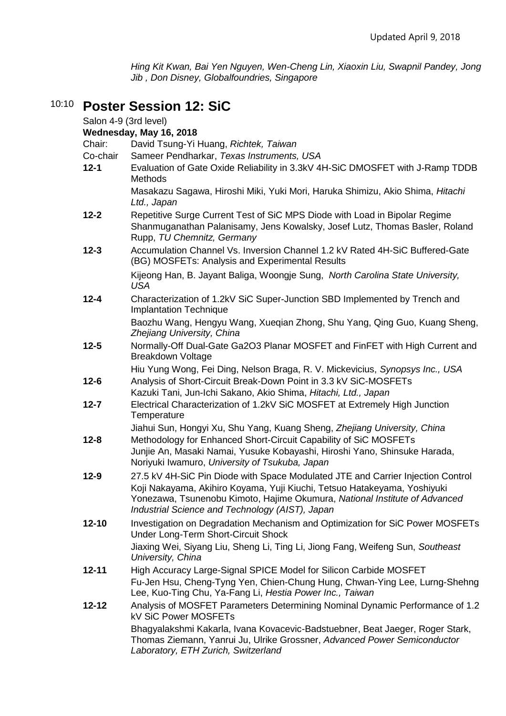*Hing Kit Kwan, Bai Yen Nguyen, Wen-Cheng Lin, Xiaoxin Liu, Swapnil Pandey, Jong Jib , Don Disney, Globalfoundries, Singapore*

### 10:10 **Poster Session 12: SiC**

Salon 4-9 (3rd level) **Wednesday, May 16, 2018**

Chair: David Tsung-Yi Huang, *Richtek, Taiwan*

- Co-chair Sameer Pendharkar, *Texas Instruments, USA*
- **12-1** Evaluation of Gate Oxide Reliability in 3.3kV 4H-SiC DMOSFET with J-Ramp TDDB **Methods**

Masakazu Sagawa, Hiroshi Miki, Yuki Mori, Haruka Shimizu, Akio Shima, *Hitachi Ltd., Japan*

- **12-2** Repetitive Surge Current Test of SiC MPS Diode with Load in Bipolar Regime Shanmuganathan Palanisamy, Jens Kowalsky, Josef Lutz, Thomas Basler, Roland Rupp, *TU Chemnitz, Germany*
- **12-3** Accumulation Channel Vs. Inversion Channel 1.2 kV Rated 4H-SiC Buffered-Gate (BG) MOSFETs: Analysis and Experimental Results

Kijeong Han, B. Jayant Baliga, Woongje Sung, *North Carolina State University, USA*

**12-4** Characterization of 1.2kV SiC Super-Junction SBD Implemented by Trench and Implantation Technique

Baozhu Wang, Hengyu Wang, Xueqian Zhong, Shu Yang, Qing Guo, Kuang Sheng, *Zhejiang University, China*

**12-5** Normally-Off Dual-Gate Ga2O3 Planar MOSFET and FinFET with High Current and Breakdown Voltage

Hiu Yung Wong, Fei Ding, Nelson Braga, R. V. Mickevicius, *Synopsys Inc., USA*

- **12-6** Analysis of Short-Circuit Break-Down Point in 3.3 kV SiC-MOSFETs Kazuki Tani, Jun-Ichi Sakano, Akio Shima, *Hitachi, Ltd., Japan*
- **12-7** Electrical Characterization of 1.2kV SiC MOSFET at Extremely High Junction **Temperature**

Jiahui Sun, Hongyi Xu, Shu Yang, Kuang Sheng, *Zhejiang University, China*

- **12-8** Methodology for Enhanced Short-Circuit Capability of SiC MOSFETs Junjie An, Masaki Namai, Yusuke Kobayashi, Hiroshi Yano, Shinsuke Harada, Noriyuki Iwamuro, *University of Tsukuba, Japan*
- **12-9** 27.5 kV 4H-SiC Pin Diode with Space Modulated JTE and Carrier Injection Control Koji Nakayama, Akihiro Koyama, Yuji Kiuchi, Tetsuo Hatakeyama, Yoshiyuki Yonezawa, Tsunenobu Kimoto, Hajime Okumura, *National Institute of Advanced Industrial Science and Technology (AIST), Japan*
- **12-10** Investigation on Degradation Mechanism and Optimization for SiC Power MOSFETs Under Long-Term Short-Circuit Shock Jiaxing Wei, Siyang Liu, Sheng Li, Ting Li, Jiong Fang, Weifeng Sun, *Southeast University, China*
- **12-11** High Accuracy Large-Signal SPICE Model for Silicon Carbide MOSFET Fu-Jen Hsu, Cheng-Tyng Yen, Chien-Chung Hung, Chwan-Ying Lee, Lurng-Shehng Lee, Kuo-Ting Chu, Ya-Fang Li, *Hestia Power Inc., Taiwan*
- **12-12** Analysis of MOSFET Parameters Determining Nominal Dynamic Performance of 1.2 kV SiC Power MOSFETs Bhagyalakshmi Kakarla, Ivana Kovacevic-Badstuebner, Beat Jaeger, Roger Stark, Thomas Ziemann, Yanrui Ju, Ulrike Grossner, *Advanced Power Semiconductor*

*Laboratory, ETH Zurich, Switzerland*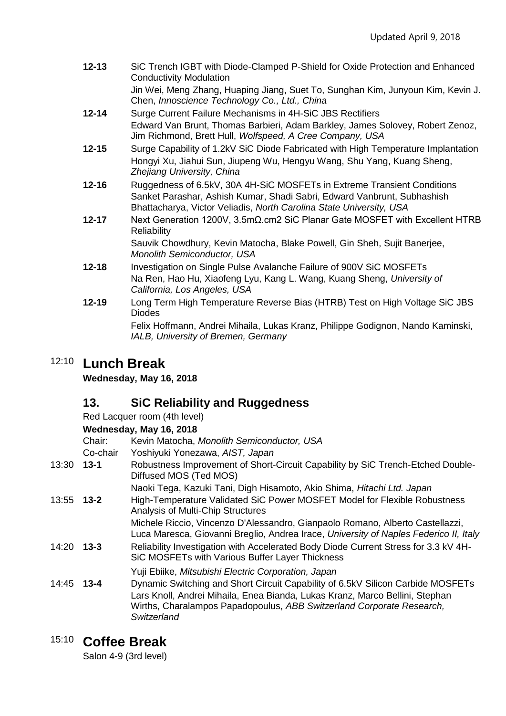- **12-13** SiC Trench IGBT with Diode-Clamped P-Shield for Oxide Protection and Enhanced Conductivity Modulation Jin Wei, Meng Zhang, Huaping Jiang, Suet To, Sunghan Kim, Junyoun Kim, Kevin J. Chen, *Innoscience Technology Co., Ltd., China*
- **12-14** Surge Current Failure Mechanisms in 4H-SiC JBS Rectifiers Edward Van Brunt, Thomas Barbieri, Adam Barkley, James Solovey, Robert Zenoz, Jim Richmond, Brett Hull, *Wolfspeed, A Cree Company, USA*
- **12-15** Surge Capability of 1.2kV SiC Diode Fabricated with High Temperature Implantation Hongyi Xu, Jiahui Sun, Jiupeng Wu, Hengyu Wang, Shu Yang, Kuang Sheng, *Zhejiang University, China*
- **12-16** Ruggedness of 6.5kV, 30A 4H-SiC MOSFETs in Extreme Transient Conditions Sanket Parashar, Ashish Kumar, Shadi Sabri, Edward Vanbrunt, Subhashish Bhattacharya, Victor Veliadis, *North Carolina State University, USA*
- **12-17** Next Generation 1200V, 3.5mΩ.cm2 SiC Planar Gate MOSFET with Excellent HTRB **Reliability** Sauvik Chowdhury, Kevin Matocha, Blake Powell, Gin Sheh, Sujit Banerjee,

*Monolith Semiconductor, USA*

- **12-18** Investigation on Single Pulse Avalanche Failure of 900V SiC MOSFETs Na Ren, Hao Hu, Xiaofeng Lyu, Kang L. Wang, Kuang Sheng, *University of California, Los Angeles, USA*
- **12-19** Long Term High Temperature Reverse Bias (HTRB) Test on High Voltage SiC JBS Diodes Felix Hoffmann, Andrei Mihaila, Lukas Kranz, Philippe Godignon, Nando Kaminski,

12:10 **Lunch Break**

**Wednesday, May 16, 2018**

### **13. SiC Reliability and Ruggedness**

Red Lacquer room (4th level)

- **Wednesday, May 16, 2018**
- Chair: Kevin Matocha, *Monolith Semiconductor, USA*

*IALB, University of Bremen, Germany*

- Co-chair Yoshiyuki Yonezawa, *AIST, Japan*
- 13:30 **13-1** Robustness Improvement of Short-Circuit Capability by SiC Trench-Etched Double-Diffused MOS (Ted MOS)

Naoki Tega, Kazuki Tani, Digh Hisamoto, Akio Shima, *Hitachi Ltd. Japan*

13:55 **13-2** High-Temperature Validated SiC Power MOSFET Model for Flexible Robustness Analysis of Multi-Chip Structures

Michele Riccio, Vincenzo D'Alessandro, Gianpaolo Romano, Alberto Castellazzi, Luca Maresca, Giovanni Breglio, Andrea Irace, *University of Naples Federico II, Italy*

- 14:20 **13-3** Reliability Investigation with Accelerated Body Diode Current Stress for 3.3 kV 4H-SiC MOSFETs with Various Buffer Layer Thickness
	- Yuji Ebiike, *Mitsubishi Electric Corporation, Japan*
- 14:45 **13-4** Dynamic Switching and Short Circuit Capability of 6.5kV Silicon Carbide MOSFETs Lars Knoll, Andrei Mihaila, Enea Bianda, Lukas Kranz, Marco Bellini, Stephan Wirths, Charalampos Papadopoulus, *ABB Switzerland Corporate Research, Switzerland*

### 15:10 **Coffee Break**

Salon 4-9 (3rd level)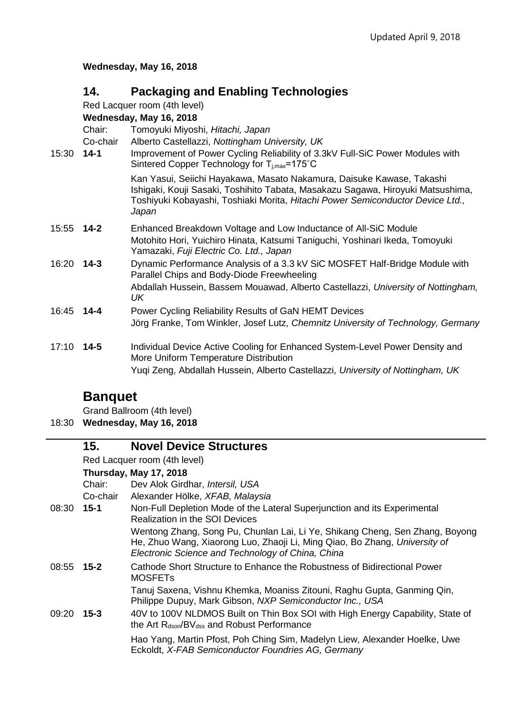#### **Wednesday, May 16, 2018**

#### **14. Packaging and Enabling Technologies**

Red Lacquer room (4th level)

**Wednesday, May 16, 2018**

Chair: Tomoyuki Miyoshi, *Hitachi, Japan*

Co-chair Alberto Castellazzi, *Nottingham University, UK*

15:30 **14-1** Improvement of Power Cycling Reliability of 3.3kV Full-SiC Power Modules with Sintered Copper Technology for  $T_{i,max}$ =175°C

> Kan Yasui, Seiichi Hayakawa, Masato Nakamura, Daisuke Kawase, Takashi Ishigaki, Kouji Sasaki, Toshihito Tabata, Masakazu Sagawa, Hiroyuki Matsushima, Toshiyuki Kobayashi, Toshiaki Morita, *Hitachi Power Semiconductor Device Ltd., Japan*

- 15:55 **14-2** Enhanced Breakdown Voltage and Low Inductance of All-SiC Module Motohito Hori, Yuichiro Hinata, Katsumi Taniguchi, Yoshinari Ikeda, Tomoyuki Yamazaki, *Fuji Electric Co. Ltd., Japan*
- 16:20 **14-3** Dynamic Performance Analysis of a 3.3 kV SiC MOSFET Half-Bridge Module with Parallel Chips and Body-Diode Freewheeling Abdallah Hussein, Bassem Mouawad, Alberto Castellazzi, *University of Nottingham, UK*
- 16:45 **14-4** Power Cycling Reliability Results of GaN HEMT Devices Jörg Franke, Tom Winkler, Josef Lutz, *Chemnitz University of Technology, Germany*
- 17:10 **14-5** Individual Device Active Cooling for Enhanced System-Level Power Density and More Uniform Temperature Distribution Yuqi Zeng, Abdallah Hussein, Alberto Castellazzi, *University of Nottingham, UK*

### **Banquet**

Grand Ballroom (4th level)

18:30 **Wednesday, May 16, 2018**

|            | 15.                          | <b>Novel Device Structures</b>                                                                                                                                                                                  |  |
|------------|------------------------------|-----------------------------------------------------------------------------------------------------------------------------------------------------------------------------------------------------------------|--|
|            | Red Lacquer room (4th level) |                                                                                                                                                                                                                 |  |
|            | Thursday, May 17, 2018       |                                                                                                                                                                                                                 |  |
|            | Chair:                       | Dev Alok Girdhar, Intersil, USA                                                                                                                                                                                 |  |
|            | Co-chair                     | Alexander Hölke, XFAB, Malaysia                                                                                                                                                                                 |  |
| 08:30      | $15 - 1$                     | Non-Full Depletion Mode of the Lateral Superjunction and its Experimental<br><b>Realization in the SOI Devices</b>                                                                                              |  |
|            |                              | Wentong Zhang, Song Pu, Chunlan Lai, Li Ye, Shikang Cheng, Sen Zhang, Boyong<br>He, Zhuo Wang, Xiaorong Luo, Zhaoji Li, Ming Qiao, Bo Zhang, University of<br>Electronic Science and Technology of China, China |  |
| 08:55 15-2 |                              | Cathode Short Structure to Enhance the Robustness of Bidirectional Power<br><b>MOSFETS</b>                                                                                                                      |  |
|            |                              | Tanuj Saxena, Vishnu Khemka, Moaniss Zitouni, Raghu Gupta, Ganming Qin,<br>Philippe Dupuy, Mark Gibson, NXP Semiconductor Inc., USA                                                                             |  |
| 09:20      | 15-3                         | 40V to 100V NLDMOS Built on Thin Box SOI with High Energy Capability, State of<br>the Art R <sub>dson</sub> /BV <sub>dss</sub> and Robust Performance                                                           |  |
|            |                              | Hao Yang, Martin Pfost, Poh Ching Sim, Madelyn Liew, Alexander Hoelke, Uwe<br>Eckoldt, X-FAB Semiconductor Foundries AG, Germany                                                                                |  |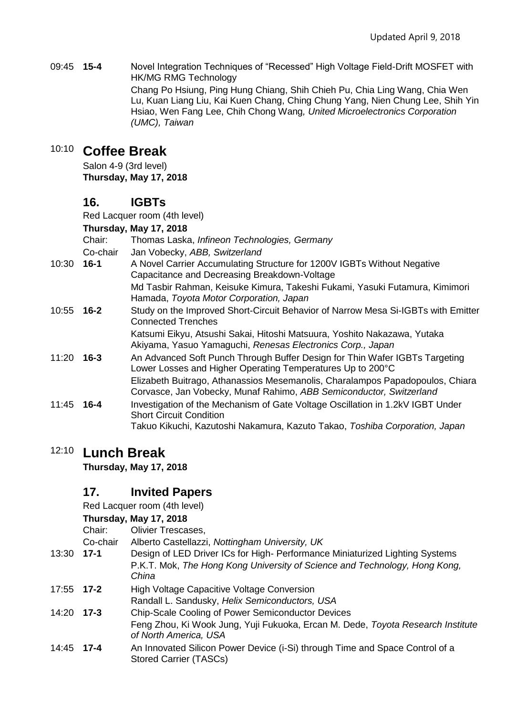09:45 **15-4** Novel Integration Techniques of "Recessed" High Voltage Field-Drift MOSFET with HK/MG RMG Technology Chang Po Hsiung, Ping Hung Chiang, Shih Chieh Pu, Chia Ling Wang, Chia Wen Lu, Kuan Liang Liu, Kai Kuen Chang, Ching Chung Yang, Nien Chung Lee, Shih Yin Hsiao, Wen Fang Lee, Chih Chong Wang*, United Microelectronics Corporation (UMC), Taiwan*

# 10:10 **Coffee Break**

Salon 4-9 (3rd level) **Thursday, May 17, 2018**

### **16. IGBTs**

Red Lacquer room (4th level)

#### **Thursday, May 17, 2018**

|              | Chair:   | Thomas Laska, Infineon Technologies, Germany                                                                                                         |
|--------------|----------|------------------------------------------------------------------------------------------------------------------------------------------------------|
|              | Co-chair | Jan Vobecky, ABB, Switzerland                                                                                                                        |
| 10:30        | $16 - 1$ | A Novel Carrier Accumulating Structure for 1200V IGBTs Without Negative<br>Capacitance and Decreasing Breakdown-Voltage                              |
|              |          | Md Tasbir Rahman, Keisuke Kimura, Takeshi Fukami, Yasuki Futamura, Kimimori<br>Hamada, Toyota Motor Corporation, Japan                               |
| $10:55$ 16-2 |          | Study on the Improved Short-Circuit Behavior of Narrow Mesa Si-IGBTs with Emitter<br><b>Connected Trenches</b>                                       |
|              |          | Katsumi Eikyu, Atsushi Sakai, Hitoshi Matsuura, Yoshito Nakazawa, Yutaka<br>Akiyama, Yasuo Yamaguchi, Renesas Electronics Corp., Japan               |
| 11:20        | 16-3     | An Advanced Soft Punch Through Buffer Design for Thin Wafer IGBTs Targeting<br>Lower Losses and Higher Operating Temperatures Up to 200°C            |
|              |          | Elizabeth Buitrago, Athanassios Mesemanolis, Charalampos Papadopoulos, Chiara<br>Corvasce, Jan Vobecky, Munaf Rahimo, ABB Semiconductor, Switzerland |
| 11:45 16-4   |          | Investigation of the Mechanism of Gate Voltage Oscillation in 1.2kV IGBT Under<br><b>Short Circuit Condition</b>                                     |
|              |          | Takuo Kikuchi, Kazutoshi Nakamura, Kazuto Takao, Toshiba Corporation, Japan                                                                          |

### 12:10 **Lunch Break**

**Thursday, May 17, 2018**

### **17. Invited Papers**

Stored Carrier (TASCs)

Red Lacquer room (4th level)

#### **Thursday, May 17, 2018**

|            | Chair:   | <b>Olivier Trescases.</b>                                                                                |
|------------|----------|----------------------------------------------------------------------------------------------------------|
|            | Co-chair | Alberto Castellazzi, Nottingham University, UK                                                           |
| 13:30 17-1 |          | Design of LED Driver ICs for High- Performance Miniaturized Lighting Systems                             |
|            |          | P.K.T. Mok, The Hong Kong University of Science and Technology, Hong Kong,                               |
|            |          | China                                                                                                    |
| 17:55 17-2 |          | High Voltage Capacitive Voltage Conversion                                                               |
|            |          | Randall L. Sandusky, Helix Semiconductors, USA                                                           |
| 14:20 17-3 |          | Chip-Scale Cooling of Power Semiconductor Devices                                                        |
|            |          | Feng Zhou, Ki Wook Jung, Yuji Fukuoka, Ercan M. Dede, Toyota Research Institute<br>of North America, USA |
| 14:45      | -17-4    | An Innovated Silicon Power Device (i-Si) through Time and Space Control of a                             |